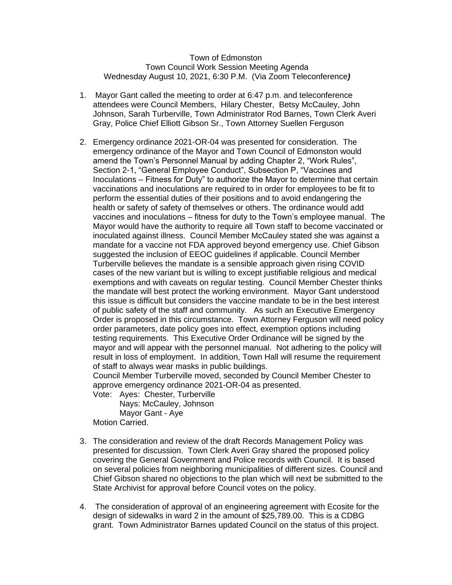## Town of Edmonston Town Council Work Session Meeting Agenda Wednesday August 10, 2021, 6:30 P.M. (Via Zoom Teleconference*)*

- 1. Mayor Gant called the meeting to order at 6:47 p.m. and teleconference attendees were Council Members, Hilary Chester, Betsy McCauley, John Johnson, Sarah Turberville, Town Administrator Rod Barnes, Town Clerk Averi Gray, Police Chief Elliott Gibson Sr., Town Attorney Suellen Ferguson
- 2. Emergency ordinance 2021-OR-04 was presented for consideration. The emergency ordinance of the Mayor and Town Council of Edmonston would amend the Town's Personnel Manual by adding Chapter 2, "Work Rules", Section 2-1, "General Employee Conduct", Subsection P, "Vaccines and Inoculations – Fitness for Duty" to authorize the Mayor to determine that certain vaccinations and inoculations are required to in order for employees to be fit to perform the essential duties of their positions and to avoid endangering the health or safety of safety of themselves or others. The ordinance would add vaccines and inoculations – fitness for duty to the Town's employee manual. The Mayor would have the authority to require all Town staff to become vaccinated or inoculated against illness. Council Member McCauley stated she was against a mandate for a vaccine not FDA approved beyond emergency use. Chief Gibson suggested the inclusion of EEOC guidelines if applicable. Council Member Turberville believes the mandate is a sensible approach given rising COVID cases of the new variant but is willing to except justifiable religious and medical exemptions and with caveats on regular testing. Council Member Chester thinks the mandate will best protect the working environment. Mayor Gant understood this issue is difficult but considers the vaccine mandate to be in the best interest of public safety of the staff and community. As such an Executive Emergency Order is proposed in this circumstance. Town Attorney Ferguson will need policy order parameters, date policy goes into effect, exemption options including testing requirements. This Executive Order Ordinance will be signed by the mayor and will appear with the personnel manual. Not adhering to the policy will result in loss of employment. In addition, Town Hall will resume the requirement of staff to always wear masks in public buildings.

Council Member Turberville moved, seconded by Council Member Chester to approve emergency ordinance 2021-OR-04 as presented.

Vote: Ayes: Chester, Turberville Nays: McCauley, Johnson Mayor Gant - Aye

Motion Carried.

- 3. The consideration and review of the draft Records Management Policy was presented for discussion. Town Clerk Averi Gray shared the proposed policy covering the General Government and Police records with Council. It is based on several policies from neighboring municipalities of different sizes. Council and Chief Gibson shared no objections to the plan which will next be submitted to the State Archivist for approval before Council votes on the policy.
- 4. The consideration of approval of an engineering agreement with Ecosite for the design of sidewalks in ward 2 in the amount of \$25,789.00. This is a CDBG grant. Town Administrator Barnes updated Council on the status of this project.